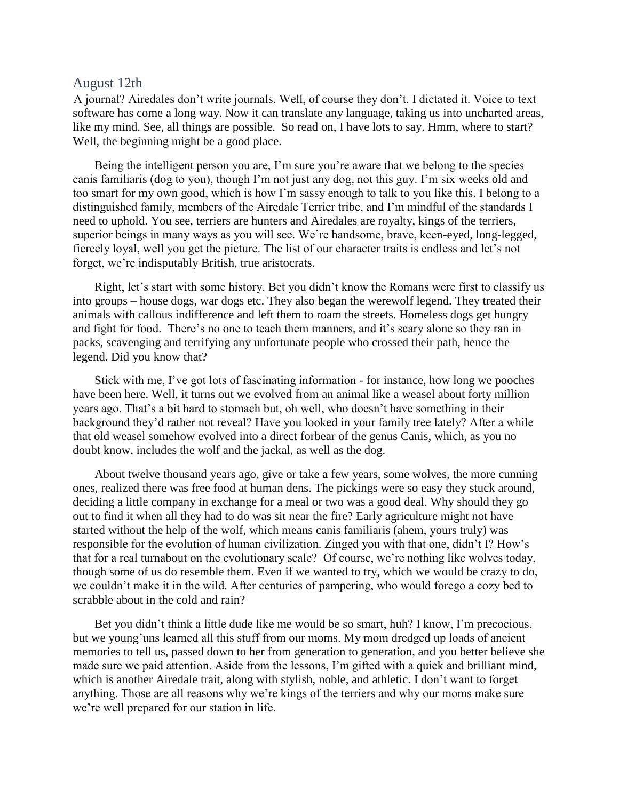## August 12th

A journal? Airedales don't write journals. Well, of course they don't. I dictated it. Voice to text software has come a long way. Now it can translate any language, taking us into uncharted areas, like my mind. See, all things are possible. So read on, I have lots to say. Hmm, where to start? Well, the beginning might be a good place.

Being the intelligent person you are, I'm sure you're aware that we belong to the species canis familiaris (dog to you), though I'm not just any dog, not this guy. I'm six weeks old and too smart for my own good, which is how I'm sassy enough to talk to you like this. I belong to a distinguished family, members of the Airedale Terrier tribe, and I'm mindful of the standards I need to uphold. You see, terriers are hunters and Airedales are royalty, kings of the terriers, superior beings in many ways as you will see. We're handsome, brave, keen-eyed, long-legged, fiercely loyal, well you get the picture. The list of our character traits is endless and let's not forget, we're indisputably British, true aristocrats.

Right, let's start with some history. Bet you didn't know the Romans were first to classify us into groups – house dogs, war dogs etc. They also began the werewolf legend. They treated their animals with callous indifference and left them to roam the streets. Homeless dogs get hungry and fight for food. There's no one to teach them manners, and it's scary alone so they ran in packs, scavenging and terrifying any unfortunate people who crossed their path, hence the legend. Did you know that?

Stick with me, I've got lots of fascinating information - for instance, how long we pooches have been here. Well, it turns out we evolved from an animal like a weasel about forty million years ago. That's a bit hard to stomach but, oh well, who doesn't have something in their background they'd rather not reveal? Have you looked in your family tree lately? After a while that old weasel somehow evolved into a direct forbear of the genus Canis, which, as you no doubt know, includes the wolf and the jackal, as well as the dog.

About twelve thousand years ago, give or take a few years, some wolves, the more cunning ones, realized there was free food at human dens. The pickings were so easy they stuck around, deciding a little company in exchange for a meal or two was a good deal. Why should they go out to find it when all they had to do was sit near the fire? Early agriculture might not have started without the help of the wolf, which means canis familiaris (ahem, yours truly) was responsible for the evolution of human civilization. Zinged you with that one, didn't I? How's that for a real turnabout on the evolutionary scale? Of course, we're nothing like wolves today, though some of us do resemble them. Even if we wanted to try, which we would be crazy to do, we couldn't make it in the wild. After centuries of pampering, who would forego a cozy bed to scrabble about in the cold and rain?

Bet you didn't think a little dude like me would be so smart, huh? I know, I'm precocious, but we young'uns learned all this stuff from our moms. My mom dredged up loads of ancient memories to tell us, passed down to her from generation to generation, and you better believe she made sure we paid attention. Aside from the lessons, I'm gifted with a quick and brilliant mind, which is another Airedale trait, along with stylish, noble, and athletic. I don't want to forget anything. Those are all reasons why we're kings of the terriers and why our moms make sure we're well prepared for our station in life.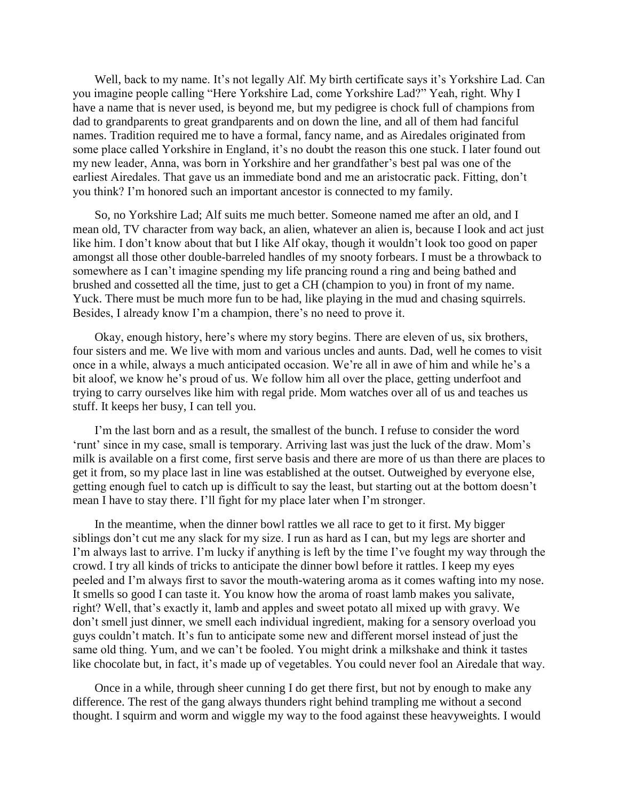Well, back to my name. It's not legally Alf. My birth certificate says it's Yorkshire Lad. Can you imagine people calling "Here Yorkshire Lad, come Yorkshire Lad?" Yeah, right. Why I have a name that is never used, is beyond me, but my pedigree is chock full of champions from dad to grandparents to great grandparents and on down the line, and all of them had fanciful names. Tradition required me to have a formal, fancy name, and as Airedales originated from some place called Yorkshire in England, it's no doubt the reason this one stuck. I later found out my new leader, Anna, was born in Yorkshire and her grandfather's best pal was one of the earliest Airedales. That gave us an immediate bond and me an aristocratic pack. Fitting, don't you think? I'm honored such an important ancestor is connected to my family.

So, no Yorkshire Lad; Alf suits me much better. Someone named me after an old, and I mean old, TV character from way back, an alien, whatever an alien is, because I look and act just like him. I don't know about that but I like Alf okay, though it wouldn't look too good on paper amongst all those other double-barreled handles of my snooty forbears. I must be a throwback to somewhere as I can't imagine spending my life prancing round a ring and being bathed and brushed and cossetted all the time, just to get a CH (champion to you) in front of my name. Yuck. There must be much more fun to be had, like playing in the mud and chasing squirrels. Besides, I already know I'm a champion, there's no need to prove it.

Okay, enough history, here's where my story begins. There are eleven of us, six brothers, four sisters and me. We live with mom and various uncles and aunts. Dad, well he comes to visit once in a while, always a much anticipated occasion. We're all in awe of him and while he's a bit aloof, we know he's proud of us. We follow him all over the place, getting underfoot and trying to carry ourselves like him with regal pride. Mom watches over all of us and teaches us stuff. It keeps her busy, I can tell you.

I'm the last born and as a result, the smallest of the bunch. I refuse to consider the word 'runt' since in my case, small is temporary. Arriving last was just the luck of the draw. Mom's milk is available on a first come, first serve basis and there are more of us than there are places to get it from, so my place last in line was established at the outset. Outweighed by everyone else, getting enough fuel to catch up is difficult to say the least, but starting out at the bottom doesn't mean I have to stay there. I'll fight for my place later when I'm stronger.

In the meantime, when the dinner bowl rattles we all race to get to it first. My bigger siblings don't cut me any slack for my size. I run as hard as I can, but my legs are shorter and I'm always last to arrive. I'm lucky if anything is left by the time I've fought my way through the crowd. I try all kinds of tricks to anticipate the dinner bowl before it rattles. I keep my eyes peeled and I'm always first to savor the mouth-watering aroma as it comes wafting into my nose. It smells so good I can taste it. You know how the aroma of roast lamb makes you salivate, right? Well, that's exactly it, lamb and apples and sweet potato all mixed up with gravy. We don't smell just dinner, we smell each individual ingredient, making for a sensory overload you guys couldn't match. It's fun to anticipate some new and different morsel instead of just the same old thing. Yum, and we can't be fooled. You might drink a milkshake and think it tastes like chocolate but, in fact, it's made up of vegetables. You could never fool an Airedale that way.

Once in a while, through sheer cunning I do get there first, but not by enough to make any difference. The rest of the gang always thunders right behind trampling me without a second thought. I squirm and worm and wiggle my way to the food against these heavyweights. I would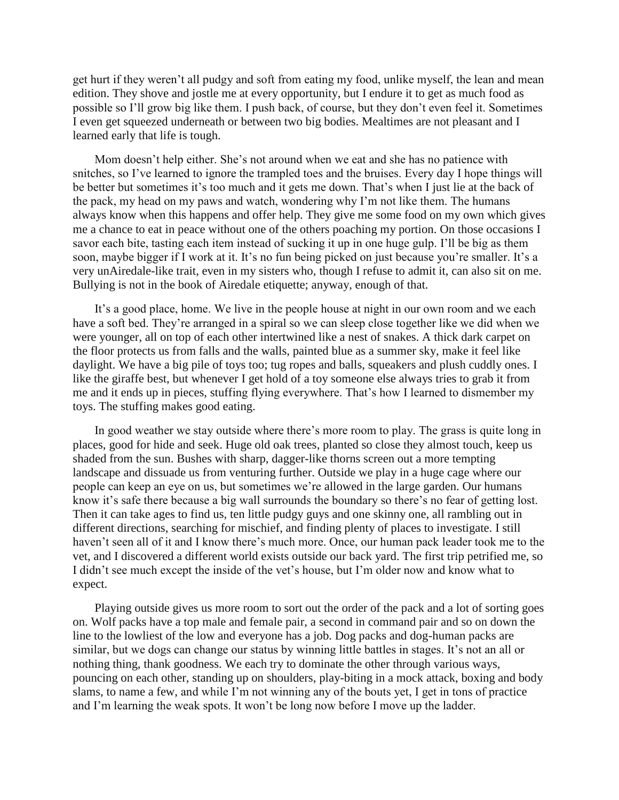get hurt if they weren't all pudgy and soft from eating my food, unlike myself, the lean and mean edition. They shove and jostle me at every opportunity, but I endure it to get as much food as possible so I'll grow big like them. I push back, of course, but they don't even feel it. Sometimes I even get squeezed underneath or between two big bodies. Mealtimes are not pleasant and I learned early that life is tough.

Mom doesn't help either. She's not around when we eat and she has no patience with snitches, so I've learned to ignore the trampled toes and the bruises. Every day I hope things will be better but sometimes it's too much and it gets me down. That's when I just lie at the back of the pack, my head on my paws and watch, wondering why I'm not like them. The humans always know when this happens and offer help. They give me some food on my own which gives me a chance to eat in peace without one of the others poaching my portion. On those occasions I savor each bite, tasting each item instead of sucking it up in one huge gulp. I'll be big as them soon, maybe bigger if I work at it. It's no fun being picked on just because you're smaller. It's a very unAiredale-like trait, even in my sisters who, though I refuse to admit it, can also sit on me. Bullying is not in the book of Airedale etiquette; anyway, enough of that.

It's a good place, home. We live in the people house at night in our own room and we each have a soft bed. They're arranged in a spiral so we can sleep close together like we did when we were younger, all on top of each other intertwined like a nest of snakes. A thick dark carpet on the floor protects us from falls and the walls, painted blue as a summer sky, make it feel like daylight. We have a big pile of toys too; tug ropes and balls, squeakers and plush cuddly ones. I like the giraffe best, but whenever I get hold of a toy someone else always tries to grab it from me and it ends up in pieces, stuffing flying everywhere. That's how I learned to dismember my toys. The stuffing makes good eating.

In good weather we stay outside where there's more room to play. The grass is quite long in places, good for hide and seek. Huge old oak trees, planted so close they almost touch, keep us shaded from the sun. Bushes with sharp, dagger-like thorns screen out a more tempting landscape and dissuade us from venturing further. Outside we play in a huge cage where our people can keep an eye on us, but sometimes we're allowed in the large garden. Our humans know it's safe there because a big wall surrounds the boundary so there's no fear of getting lost. Then it can take ages to find us, ten little pudgy guys and one skinny one, all rambling out in different directions, searching for mischief, and finding plenty of places to investigate. I still haven't seen all of it and I know there's much more. Once, our human pack leader took me to the vet, and I discovered a different world exists outside our back yard. The first trip petrified me, so I didn't see much except the inside of the vet's house, but I'm older now and know what to expect.

Playing outside gives us more room to sort out the order of the pack and a lot of sorting goes on. Wolf packs have a top male and female pair, a second in command pair and so on down the line to the lowliest of the low and everyone has a job. Dog packs and dog-human packs are similar, but we dogs can change our status by winning little battles in stages. It's not an all or nothing thing, thank goodness. We each try to dominate the other through various ways, pouncing on each other, standing up on shoulders, play-biting in a mock attack, boxing and body slams, to name a few, and while I'm not winning any of the bouts yet, I get in tons of practice and I'm learning the weak spots. It won't be long now before I move up the ladder.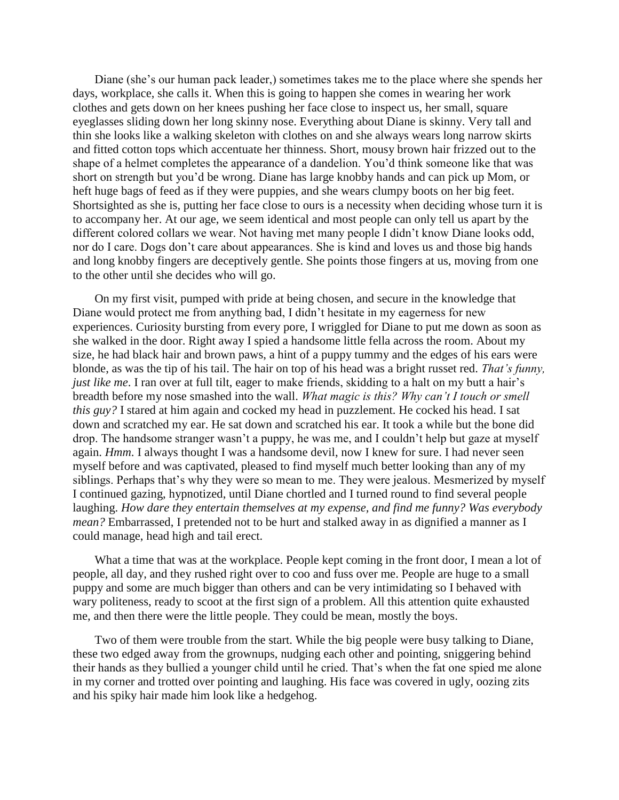Diane (she's our human pack leader,) sometimes takes me to the place where she spends her days, workplace, she calls it. When this is going to happen she comes in wearing her work clothes and gets down on her knees pushing her face close to inspect us, her small, square eyeglasses sliding down her long skinny nose. Everything about Diane is skinny. Very tall and thin she looks like a walking skeleton with clothes on and she always wears long narrow skirts and fitted cotton tops which accentuate her thinness. Short, mousy brown hair frizzed out to the shape of a helmet completes the appearance of a dandelion. You'd think someone like that was short on strength but you'd be wrong. Diane has large knobby hands and can pick up Mom, or heft huge bags of feed as if they were puppies, and she wears clumpy boots on her big feet. Shortsighted as she is, putting her face close to ours is a necessity when deciding whose turn it is to accompany her. At our age, we seem identical and most people can only tell us apart by the different colored collars we wear. Not having met many people I didn't know Diane looks odd, nor do I care. Dogs don't care about appearances. She is kind and loves us and those big hands and long knobby fingers are deceptively gentle. She points those fingers at us, moving from one to the other until she decides who will go.

On my first visit, pumped with pride at being chosen, and secure in the knowledge that Diane would protect me from anything bad, I didn't hesitate in my eagerness for new experiences. Curiosity bursting from every pore, I wriggled for Diane to put me down as soon as she walked in the door. Right away I spied a handsome little fella across the room. About my size, he had black hair and brown paws, a hint of a puppy tummy and the edges of his ears were blonde, as was the tip of his tail. The hair on top of his head was a bright russet red. *That's funny, just like me*. I ran over at full tilt, eager to make friends, skidding to a halt on my butt a hair's breadth before my nose smashed into the wall. *What magic is this? Why can't I touch or smell this guy?* I stared at him again and cocked my head in puzzlement. He cocked his head. I sat down and scratched my ear. He sat down and scratched his ear. It took a while but the bone did drop. The handsome stranger wasn't a puppy, he was me, and I couldn't help but gaze at myself again. *Hmm*. I always thought I was a handsome devil, now I knew for sure. I had never seen myself before and was captivated, pleased to find myself much better looking than any of my siblings. Perhaps that's why they were so mean to me. They were jealous. Mesmerized by myself I continued gazing, hypnotized, until Diane chortled and I turned round to find several people laughing. *How dare they entertain themselves at my expense, and find me funny? Was everybody mean?* Embarrassed, I pretended not to be hurt and stalked away in as dignified a manner as I could manage, head high and tail erect.

What a time that was at the workplace. People kept coming in the front door, I mean a lot of people, all day, and they rushed right over to coo and fuss over me. People are huge to a small puppy and some are much bigger than others and can be very intimidating so I behaved with wary politeness, ready to scoot at the first sign of a problem. All this attention quite exhausted me, and then there were the little people. They could be mean, mostly the boys.

Two of them were trouble from the start. While the big people were busy talking to Diane, these two edged away from the grownups, nudging each other and pointing, sniggering behind their hands as they bullied a younger child until he cried. That's when the fat one spied me alone in my corner and trotted over pointing and laughing. His face was covered in ugly, oozing zits and his spiky hair made him look like a hedgehog.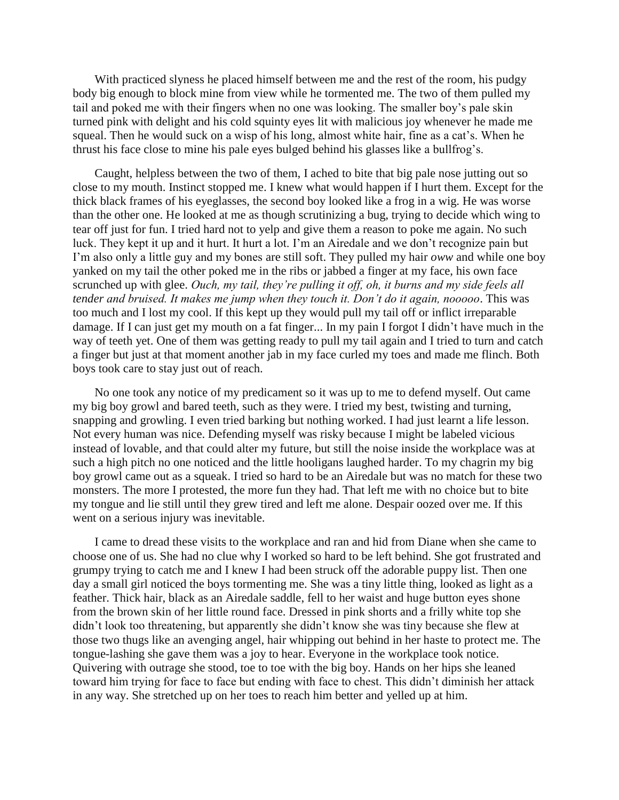With practiced slyness he placed himself between me and the rest of the room, his pudgy body big enough to block mine from view while he tormented me. The two of them pulled my tail and poked me with their fingers when no one was looking. The smaller boy's pale skin turned pink with delight and his cold squinty eyes lit with malicious joy whenever he made me squeal. Then he would suck on a wisp of his long, almost white hair, fine as a cat's. When he thrust his face close to mine his pale eyes bulged behind his glasses like a bullfrog's.

Caught, helpless between the two of them, I ached to bite that big pale nose jutting out so close to my mouth. Instinct stopped me. I knew what would happen if I hurt them. Except for the thick black frames of his eyeglasses, the second boy looked like a frog in a wig. He was worse than the other one. He looked at me as though scrutinizing a bug, trying to decide which wing to tear off just for fun. I tried hard not to yelp and give them a reason to poke me again. No such luck. They kept it up and it hurt. It hurt a lot. I'm an Airedale and we don't recognize pain but I'm also only a little guy and my bones are still soft. They pulled my hair *oww* and while one boy yanked on my tail the other poked me in the ribs or jabbed a finger at my face, his own face scrunched up with glee. *Ouch, my tail, they're pulling it off, oh, it burns and my side feels all tender and bruised. It makes me jump when they touch it. Don't do it again, nooooo*. This was too much and I lost my cool. If this kept up they would pull my tail off or inflict irreparable damage. If I can just get my mouth on a fat finger... In my pain I forgot I didn't have much in the way of teeth yet. One of them was getting ready to pull my tail again and I tried to turn and catch a finger but just at that moment another jab in my face curled my toes and made me flinch. Both boys took care to stay just out of reach.

No one took any notice of my predicament so it was up to me to defend myself. Out came my big boy growl and bared teeth, such as they were. I tried my best, twisting and turning, snapping and growling. I even tried barking but nothing worked. I had just learnt a life lesson. Not every human was nice. Defending myself was risky because I might be labeled vicious instead of lovable, and that could alter my future, but still the noise inside the workplace was at such a high pitch no one noticed and the little hooligans laughed harder. To my chagrin my big boy growl came out as a squeak. I tried so hard to be an Airedale but was no match for these two monsters. The more I protested, the more fun they had. That left me with no choice but to bite my tongue and lie still until they grew tired and left me alone. Despair oozed over me. If this went on a serious injury was inevitable.

I came to dread these visits to the workplace and ran and hid from Diane when she came to choose one of us. She had no clue why I worked so hard to be left behind. She got frustrated and grumpy trying to catch me and I knew I had been struck off the adorable puppy list. Then one day a small girl noticed the boys tormenting me. She was a tiny little thing, looked as light as a feather. Thick hair, black as an Airedale saddle, fell to her waist and huge button eyes shone from the brown skin of her little round face. Dressed in pink shorts and a frilly white top she didn't look too threatening, but apparently she didn't know she was tiny because she flew at those two thugs like an avenging angel, hair whipping out behind in her haste to protect me. The tongue-lashing she gave them was a joy to hear. Everyone in the workplace took notice. Quivering with outrage she stood, toe to toe with the big boy. Hands on her hips she leaned toward him trying for face to face but ending with face to chest. This didn't diminish her attack in any way. She stretched up on her toes to reach him better and yelled up at him.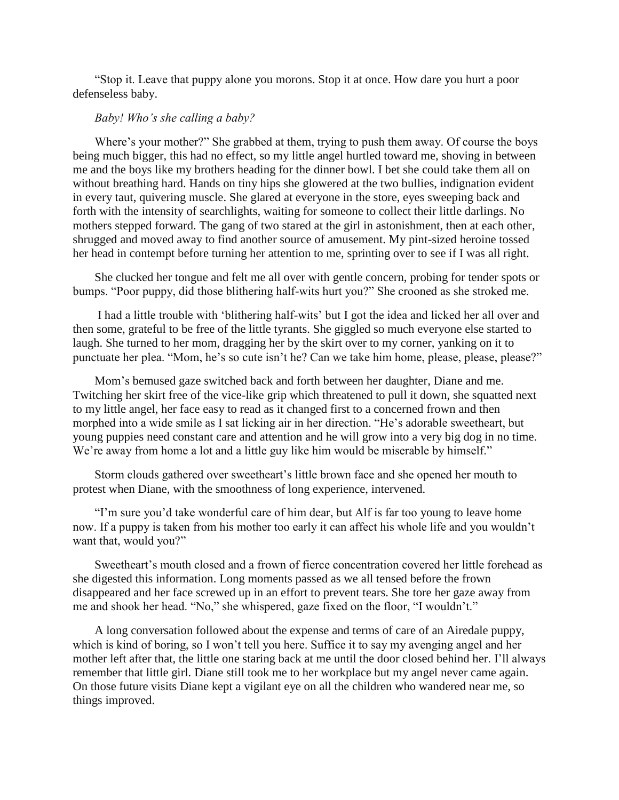"Stop it. Leave that puppy alone you morons. Stop it at once. How dare you hurt a poor defenseless baby.

## *Baby! Who's she calling a baby?*

Where's your mother?" She grabbed at them, trying to push them away. Of course the boys being much bigger, this had no effect, so my little angel hurtled toward me, shoving in between me and the boys like my brothers heading for the dinner bowl. I bet she could take them all on without breathing hard. Hands on tiny hips she glowered at the two bullies, indignation evident in every taut, quivering muscle. She glared at everyone in the store, eyes sweeping back and forth with the intensity of searchlights, waiting for someone to collect their little darlings. No mothers stepped forward. The gang of two stared at the girl in astonishment, then at each other, shrugged and moved away to find another source of amusement. My pint-sized heroine tossed her head in contempt before turning her attention to me, sprinting over to see if I was all right.

She clucked her tongue and felt me all over with gentle concern, probing for tender spots or bumps. "Poor puppy, did those blithering half-wits hurt you?" She crooned as she stroked me.

I had a little trouble with 'blithering half-wits' but I got the idea and licked her all over and then some, grateful to be free of the little tyrants. She giggled so much everyone else started to laugh. She turned to her mom, dragging her by the skirt over to my corner, yanking on it to punctuate her plea. "Mom, he's so cute isn't he? Can we take him home, please, please, please?"

Mom's bemused gaze switched back and forth between her daughter, Diane and me. Twitching her skirt free of the vice-like grip which threatened to pull it down, she squatted next to my little angel, her face easy to read as it changed first to a concerned frown and then morphed into a wide smile as I sat licking air in her direction. "He's adorable sweetheart, but young puppies need constant care and attention and he will grow into a very big dog in no time. We're away from home a lot and a little guy like him would be miserable by himself."

Storm clouds gathered over sweetheart's little brown face and she opened her mouth to protest when Diane, with the smoothness of long experience, intervened.

"I'm sure you'd take wonderful care of him dear, but Alf is far too young to leave home now. If a puppy is taken from his mother too early it can affect his whole life and you wouldn't want that, would you?"

Sweetheart's mouth closed and a frown of fierce concentration covered her little forehead as she digested this information. Long moments passed as we all tensed before the frown disappeared and her face screwed up in an effort to prevent tears. She tore her gaze away from me and shook her head. "No," she whispered, gaze fixed on the floor, "I wouldn't."

A long conversation followed about the expense and terms of care of an Airedale puppy, which is kind of boring, so I won't tell you here. Suffice it to say my avenging angel and her mother left after that, the little one staring back at me until the door closed behind her. I'll always remember that little girl. Diane still took me to her workplace but my angel never came again. On those future visits Diane kept a vigilant eye on all the children who wandered near me, so things improved.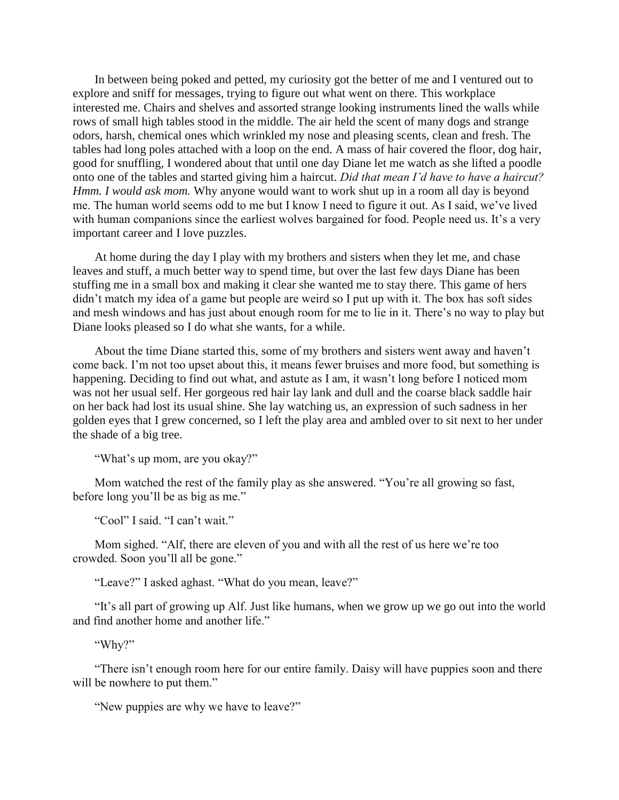In between being poked and petted, my curiosity got the better of me and I ventured out to explore and sniff for messages, trying to figure out what went on there. This workplace interested me. Chairs and shelves and assorted strange looking instruments lined the walls while rows of small high tables stood in the middle. The air held the scent of many dogs and strange odors, harsh, chemical ones which wrinkled my nose and pleasing scents, clean and fresh. The tables had long poles attached with a loop on the end. A mass of hair covered the floor, dog hair, good for snuffling, I wondered about that until one day Diane let me watch as she lifted a poodle onto one of the tables and started giving him a haircut. *Did that mean I'd have to have a haircut? Hmm. I would ask mom.* Why anyone would want to work shut up in a room all day is beyond me. The human world seems odd to me but I know I need to figure it out. As I said, we've lived with human companions since the earliest wolves bargained for food. People need us. It's a very important career and I love puzzles.

At home during the day I play with my brothers and sisters when they let me, and chase leaves and stuff, a much better way to spend time, but over the last few days Diane has been stuffing me in a small box and making it clear she wanted me to stay there. This game of hers didn't match my idea of a game but people are weird so I put up with it. The box has soft sides and mesh windows and has just about enough room for me to lie in it. There's no way to play but Diane looks pleased so I do what she wants, for a while.

About the time Diane started this, some of my brothers and sisters went away and haven't come back. I'm not too upset about this, it means fewer bruises and more food, but something is happening. Deciding to find out what, and astute as I am, it wasn't long before I noticed mom was not her usual self. Her gorgeous red hair lay lank and dull and the coarse black saddle hair on her back had lost its usual shine. She lay watching us, an expression of such sadness in her golden eyes that I grew concerned, so I left the play area and ambled over to sit next to her under the shade of a big tree.

"What's up mom, are you okay?"

Mom watched the rest of the family play as she answered. "You're all growing so fast, before long you'll be as big as me."

"Cool" I said. "I can't wait."

Mom sighed. "Alf, there are eleven of you and with all the rest of us here we're too crowded. Soon you'll all be gone."

"Leave?" I asked aghast. "What do you mean, leave?"

"It's all part of growing up Alf. Just like humans, when we grow up we go out into the world and find another home and another life."

"Why?"

"There isn't enough room here for our entire family. Daisy will have puppies soon and there will be nowhere to put them."

"New puppies are why we have to leave?"